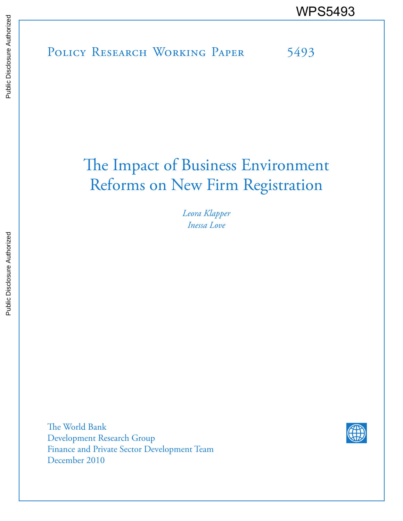POLICY RESEARCH WORKING PAPER 5493 WPS5493

# The Impact of Business Environment Reforms on New Firm Registration

*Leora Klapper Inessa Love*

The World Bank Development Research Group Finance and Private Sector Development Team December 2010

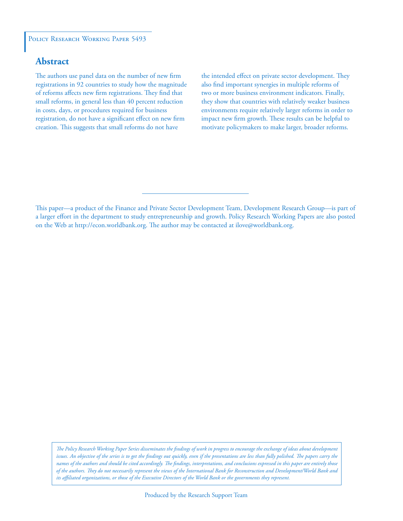### POLICY RESEARCH WORKING PAPER 5493

# **Abstract**

The authors use panel data on the number of new firm registrations in 92 countries to study how the magnitude of reforms affects new firm registrations. They find that small reforms, in general less than 40 percent reduction in costs, days, or procedures required for business registration, do not have a significant effect on new firm creation. This suggests that small reforms do not have

the intended effect on private sector development. They also find important synergies in multiple reforms of two or more business environment indicators. Finally, they show that countries with relatively weaker business environments require relatively larger reforms in order to impact new firm growth. These results can be helpful to motivate policymakers to make larger, broader reforms.

This paper—a product of the Finance and Private Sector Development Team, Development Research Group—is part of a larger effort in the department to study entrepreneurship and growth. Policy Research Working Papers are also posted on the Web at http://econ.worldbank.org. The author may be contacted at ilove@worldbank.org.

*The Policy Research Working Paper Series disseminates the findings of work in progress to encourage the exchange of ideas about development*  issues. An objective of the series is to get the findings out quickly, even if the presentations are less than fully polished. The papers carry the *names of the authors and should be cited accordingly. The findings, interpretations, and conclusions expressed in this paper are entirely those of the authors. They do not necessarily represent the views of the International Bank for Reconstruction and Development/World Bank and its affiliated organizations, or those of the Executive Directors of the World Bank or the governments they represent.*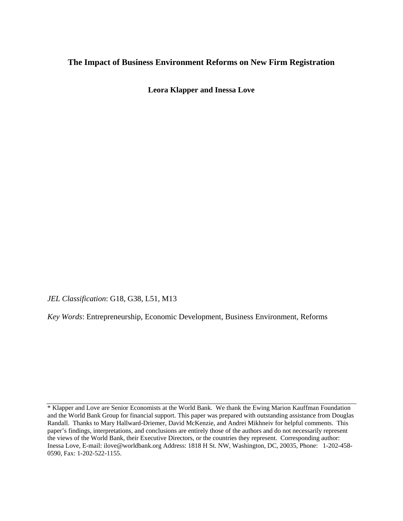# **The Impact of Business Environment Reforms on New Firm Registration**

**Leora Klapper and Inessa Love** 

*JEL Classification*: G18, G38, L51, M13

*Key Words*: Entrepreneurship, Economic Development, Business Environment, Reforms

<sup>\*</sup> Klapper and Love are Senior Economists at the World Bank. We thank the Ewing Marion Kauffman Foundation and the World Bank Group for financial support. This paper was prepared with outstanding assistance from Douglas Randall. Thanks to Mary Hallward-Driemer, David McKenzie, and Andrei Mikhneiv for helpful comments. This paper's findings, interpretations, and conclusions are entirely those of the authors and do not necessarily represent the views of the World Bank, their Executive Directors, or the countries they represent. Corresponding author: Inessa Love, E-mail: ilove@worldbank.org Address: 1818 H St. NW, Washington, DC, 20035, Phone: 1-202-458- 0590, Fax: 1-202-522-1155.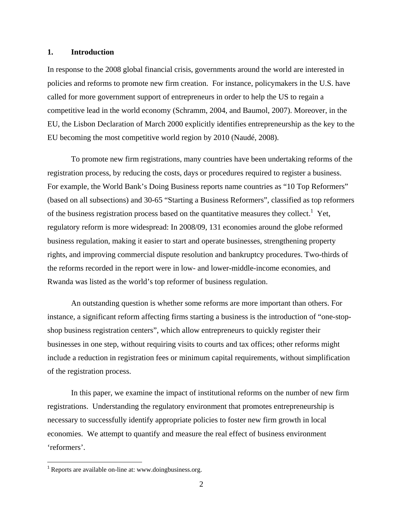#### **1. Introduction**

In response to the 2008 global financial crisis, governments around the world are interested in policies and reforms to promote new firm creation. For instance, policymakers in the U.S. have called for more government support of entrepreneurs in order to help the US to regain a competitive lead in the world economy (Schramm, 2004, and Baumol, 2007). Moreover, in the EU, the Lisbon Declaration of March 2000 explicitly identifies entrepreneurship as the key to the EU becoming the most competitive world region by 2010 (Naudé, 2008).

To promote new firm registrations, many countries have been undertaking reforms of the registration process, by reducing the costs, days or procedures required to register a business. For example, the World Bank's Doing Business reports name countries as "10 Top Reformers" (based on all subsections) and 30-65 "Starting a Business Reformers", classified as top reformers of the business registration process based on the quantitative measures they collect.<sup>1</sup> Yet, regulatory reform is more widespread: In 2008/09, 131 economies around the globe reformed business regulation, making it easier to start and operate businesses, strengthening property rights, and improving commercial dispute resolution and bankruptcy procedures. Two-thirds of the reforms recorded in the report were in low- and lower-middle-income economies, and Rwanda was listed as the world's top reformer of business regulation.

An outstanding question is whether some reforms are more important than others. For instance, a significant reform affecting firms starting a business is the introduction of "one-stopshop business registration centers", which allow entrepreneurs to quickly register their businesses in one step, without requiring visits to courts and tax offices; other reforms might include a reduction in registration fees or minimum capital requirements, without simplification of the registration process.

In this paper, we examine the impact of institutional reforms on the number of new firm registrations. Understanding the regulatory environment that promotes entrepreneurship is necessary to successfully identify appropriate policies to foster new firm growth in local economies. We attempt to quantify and measure the real effect of business environment 'reformers'.

 $1$  Reports are available on-line at: www.doingbusiness.org.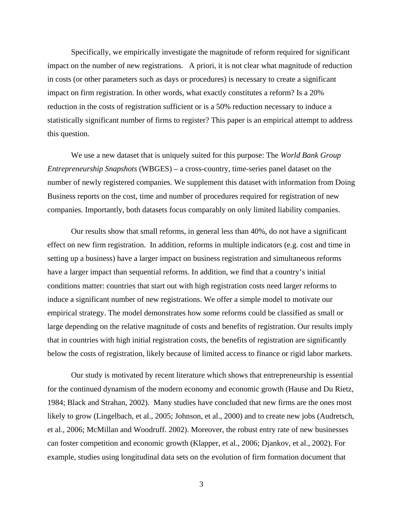Specifically, we empirically investigate the magnitude of reform required for significant impact on the number of new registrations. A priori, it is not clear what magnitude of reduction in costs (or other parameters such as days or procedures) is necessary to create a significant impact on firm registration. In other words, what exactly constitutes a reform? Is a 20% reduction in the costs of registration sufficient or is a 50% reduction necessary to induce a statistically significant number of firms to register? This paper is an empirical attempt to address this question.

We use a new dataset that is uniquely suited for this purpose: The *World Bank Group Entrepreneurship Snapshots* (WBGES) – a cross-country, time-series panel dataset on the number of newly registered companies. We supplement this dataset with information from Doing Business reports on the cost, time and number of procedures required for registration of new companies. Importantly, both datasets focus comparably on only limited liability companies.

Our results show that small reforms, in general less than 40%, do not have a significant effect on new firm registration. In addition, reforms in multiple indicators (e.g. cost and time in setting up a business) have a larger impact on business registration and simultaneous reforms have a larger impact than sequential reforms. In addition, we find that a country's initial conditions matter: countries that start out with high registration costs need larger reforms to induce a significant number of new registrations. We offer a simple model to motivate our empirical strategy. The model demonstrates how some reforms could be classified as small or large depending on the relative magnitude of costs and benefits of registration. Our results imply that in countries with high initial registration costs, the benefits of registration are significantly below the costs of registration, likely because of limited access to finance or rigid labor markets.

Our study is motivated by recent literature which shows that entrepreneurship is essential for the continued dynamism of the modern economy and economic growth (Hause and Du Rietz, 1984; Black and Strahan, 2002). Many studies have concluded that new firms are the ones most likely to grow (Lingelbach, et al., 2005; Johnson, et al., 2000) and to create new jobs (Audretsch, et al., 2006; McMillan and Woodruff. 2002). Moreover, the robust entry rate of new businesses can foster competition and economic growth (Klapper, et al., 2006; Djankov, et al., 2002). For example, studies using longitudinal data sets on the evolution of firm formation document that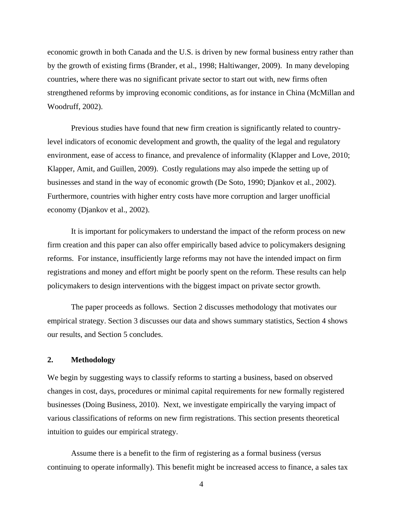economic growth in both Canada and the U.S. is driven by new formal business entry rather than by the growth of existing firms (Brander, et al., 1998; Haltiwanger, 2009). In many developing countries, where there was no significant private sector to start out with, new firms often strengthened reforms by improving economic conditions, as for instance in China (McMillan and Woodruff, 2002).

Previous studies have found that new firm creation is significantly related to countrylevel indicators of economic development and growth, the quality of the legal and regulatory environment, ease of access to finance, and prevalence of informality (Klapper and Love, 2010; Klapper, Amit, and Guillen, 2009). Costly regulations may also impede the setting up of businesses and stand in the way of economic growth (De Soto, 1990; Djankov et al., 2002). Furthermore, countries with higher entry costs have more corruption and larger unofficial economy (Djankov et al., 2002).

It is important for policymakers to understand the impact of the reform process on new firm creation and this paper can also offer empirically based advice to policymakers designing reforms. For instance, insufficiently large reforms may not have the intended impact on firm registrations and money and effort might be poorly spent on the reform. These results can help policymakers to design interventions with the biggest impact on private sector growth.

The paper proceeds as follows. Section 2 discusses methodology that motivates our empirical strategy. Section 3 discusses our data and shows summary statistics, Section 4 shows our results, and Section 5 concludes.

## **2. Methodology**

We begin by suggesting ways to classify reforms to starting a business, based on observed changes in cost, days, procedures or minimal capital requirements for new formally registered businesses (Doing Business, 2010). Next, we investigate empirically the varying impact of various classifications of reforms on new firm registrations. This section presents theoretical intuition to guides our empirical strategy.

Assume there is a benefit to the firm of registering as a formal business (versus continuing to operate informally). This benefit might be increased access to finance, a sales tax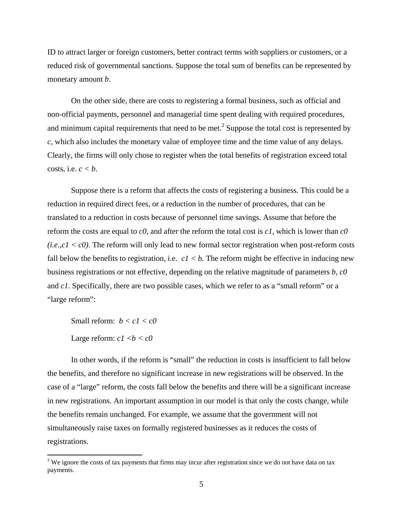ID to attract larger or foreign customers, better contract terms with suppliers or customers, or a reduced risk of governmental sanctions. Suppose the total sum of benefits can be represented by monetary amount *b*.

On the other side, there are costs to registering a formal business, such as official and non-official payments, personnel and managerial time spent dealing with required procedures, and minimum capital requirements that need to be met.<sup>2</sup> Suppose the total cost is represented by *c*, which also includes the monetary value of employee time and the time value of any delays. Clearly, the firms will only chose to register when the total benefits of registration exceed total costs, i.e.  $c < b$ .

Suppose there is a reform that affects the costs of registering a business. This could be a reduction in required direct fees, or a reduction in the number of procedures, that can be translated to a reduction in costs because of personnel time savings. Assume that before the reform the costs are equal to *c0*, and after the reform the total cost is *c1*, which is lower than *c0*   $(i.e., c1 < c0)$ . The reform will only lead to new formal sector registration when post-reform costs fall below the benefits to registration, i.e.  $c1 < b$ . The reform might be effective in inducing new business registrations or not effective, depending on the relative magnitude of parameters *b*, *c0* and *c1*. Specifically, there are two possible cases, which we refer to as a "small reform" or a "large reform":

Small reform: *b < c1 < c0* 

Large reform:  $c1 < b < c0$ 

In other words, if the reform is "small" the reduction in costs is insufficient to fall below the benefits, and therefore no significant increase in new registrations will be observed. In the case of a "large" reform, the costs fall below the benefits and there will be a significant increase in new registrations. An important assumption in our model is that only the costs change, while the benefits remain unchanged. For example, we assume that the government will not simultaneously raise taxes on formally registered businesses as it reduces the costs of registrations.

 $2$  We ignore the costs of tax payments that firms may incur after registration since we do not have data on tax payments.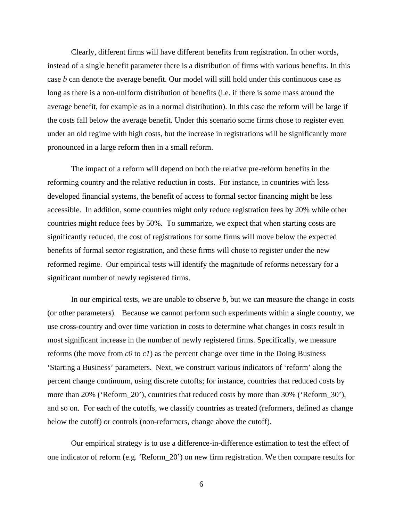Clearly, different firms will have different benefits from registration. In other words, instead of a single benefit parameter there is a distribution of firms with various benefits. In this case *b* can denote the average benefit. Our model will still hold under this continuous case as long as there is a non-uniform distribution of benefits (i.e. if there is some mass around the average benefit, for example as in a normal distribution). In this case the reform will be large if the costs fall below the average benefit. Under this scenario some firms chose to register even under an old regime with high costs, but the increase in registrations will be significantly more pronounced in a large reform then in a small reform.

The impact of a reform will depend on both the relative pre-reform benefits in the reforming country and the relative reduction in costs. For instance, in countries with less developed financial systems, the benefit of access to formal sector financing might be less accessible. In addition, some countries might only reduce registration fees by 20% while other countries might reduce fees by 50%. To summarize, we expect that when starting costs are significantly reduced, the cost of registrations for some firms will move below the expected benefits of formal sector registration, and these firms will chose to register under the new reformed regime. Our empirical tests will identify the magnitude of reforms necessary for a significant number of newly registered firms.

In our empirical tests, we are unable to observe *b*, but we can measure the change in costs (or other parameters). Because we cannot perform such experiments within a single country, we use cross-country and over time variation in costs to determine what changes in costs result in most significant increase in the number of newly registered firms. Specifically, we measure reforms (the move from  $c0$  to  $c1$ ) as the percent change over time in the Doing Business 'Starting a Business' parameters. Next, we construct various indicators of 'reform' along the percent change continuum, using discrete cutoffs; for instance, countries that reduced costs by more than 20% ('Reform\_20'), countries that reduced costs by more than 30% ('Reform\_30'), and so on. For each of the cutoffs, we classify countries as treated (reformers, defined as change below the cutoff) or controls (non-reformers, change above the cutoff).

Our empirical strategy is to use a difference-in-difference estimation to test the effect of one indicator of reform (e.g. 'Reform\_20') on new firm registration. We then compare results for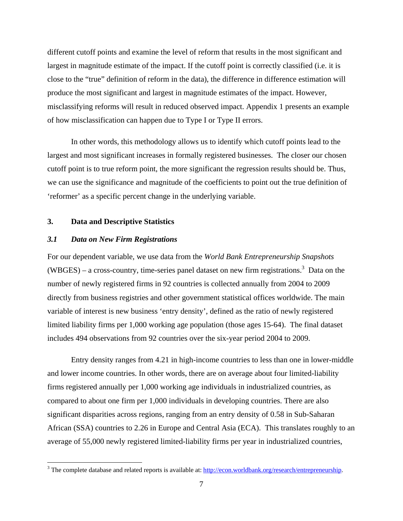different cutoff points and examine the level of reform that results in the most significant and largest in magnitude estimate of the impact. If the cutoff point is correctly classified (i.e. it is close to the "true" definition of reform in the data), the difference in difference estimation will produce the most significant and largest in magnitude estimates of the impact. However, misclassifying reforms will result in reduced observed impact. Appendix 1 presents an example of how misclassification can happen due to Type I or Type II errors.

In other words, this methodology allows us to identify which cutoff points lead to the largest and most significant increases in formally registered businesses. The closer our chosen cutoff point is to true reform point, the more significant the regression results should be. Thus, we can use the significance and magnitude of the coefficients to point out the true definition of 'reformer' as a specific percent change in the underlying variable.

# **3. Data and Descriptive Statistics**

## *3.1 Data on New Firm Registrations*

For our dependent variable, we use data from the *World Bank Entrepreneurship Snapshots* (WBGES) – a cross-country, time-series panel dataset on new firm registrations.<sup>3</sup> Data on the number of newly registered firms in 92 countries is collected annually from 2004 to 2009 directly from business registries and other government statistical offices worldwide. The main variable of interest is new business 'entry density', defined as the ratio of newly registered limited liability firms per 1,000 working age population (those ages 15-64). The final dataset includes 494 observations from 92 countries over the six-year period 2004 to 2009.

Entry density ranges from 4.21 in high-income countries to less than one in lower-middle and lower income countries. In other words, there are on average about four limited-liability firms registered annually per 1,000 working age individuals in industrialized countries, as compared to about one firm per 1,000 individuals in developing countries. There are also significant disparities across regions, ranging from an entry density of 0.58 in Sub-Saharan African (SSA) countries to 2.26 in Europe and Central Asia (ECA). This translates roughly to an average of 55,000 newly registered limited-liability firms per year in industrialized countries,

<sup>&</sup>lt;sup>3</sup> The complete database and related reports is available at:  $\frac{http://econ.worldbank.org/research/entrepreneurship.}$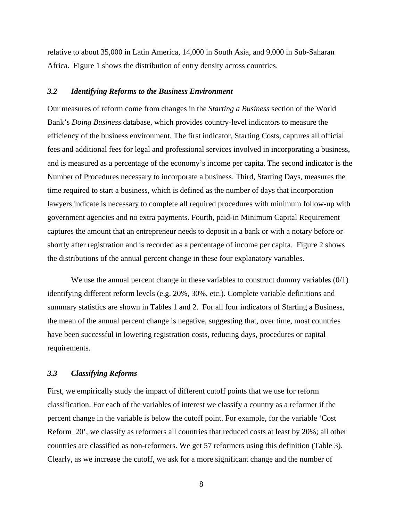relative to about 35,000 in Latin America, 14,000 in South Asia, and 9,000 in Sub-Saharan Africa. Figure 1 shows the distribution of entry density across countries.

# *3.2 Identifying Reforms to the Business Environment*

Our measures of reform come from changes in the *Starting a Business* section of the World Bank's *Doing Business* database, which provides country-level indicators to measure the efficiency of the business environment. The first indicator, Starting Costs, captures all official fees and additional fees for legal and professional services involved in incorporating a business, and is measured as a percentage of the economy's income per capita. The second indicator is the Number of Procedures necessary to incorporate a business. Third, Starting Days, measures the time required to start a business, which is defined as the number of days that incorporation lawyers indicate is necessary to complete all required procedures with minimum follow-up with government agencies and no extra payments. Fourth, paid-in Minimum Capital Requirement captures the amount that an entrepreneur needs to deposit in a bank or with a notary before or shortly after registration and is recorded as a percentage of income per capita. Figure 2 shows the distributions of the annual percent change in these four explanatory variables.

We use the annual percent change in these variables to construct dummy variables  $(0/1)$ identifying different reform levels (e.g. 20%, 30%, etc.). Complete variable definitions and summary statistics are shown in Tables 1 and 2. For all four indicators of Starting a Business, the mean of the annual percent change is negative, suggesting that, over time, most countries have been successful in lowering registration costs, reducing days, procedures or capital requirements.

# *3.3 Classifying Reforms*

First, we empirically study the impact of different cutoff points that we use for reform classification. For each of the variables of interest we classify a country as a reformer if the percent change in the variable is below the cutoff point. For example, for the variable 'Cost Reform\_20', we classify as reformers all countries that reduced costs at least by 20%; all other countries are classified as non-reformers. We get 57 reformers using this definition (Table 3). Clearly, as we increase the cutoff, we ask for a more significant change and the number of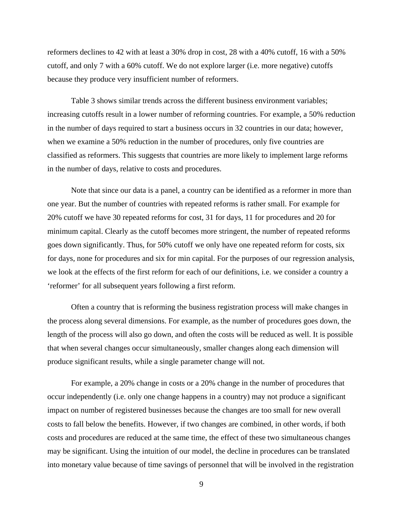reformers declines to 42 with at least a 30% drop in cost, 28 with a 40% cutoff, 16 with a 50% cutoff, and only 7 with a 60% cutoff. We do not explore larger (i.e. more negative) cutoffs because they produce very insufficient number of reformers.

Table 3 shows similar trends across the different business environment variables; increasing cutoffs result in a lower number of reforming countries. For example, a 50% reduction in the number of days required to start a business occurs in 32 countries in our data; however, when we examine a 50% reduction in the number of procedures, only five countries are classified as reformers. This suggests that countries are more likely to implement large reforms in the number of days, relative to costs and procedures.

Note that since our data is a panel, a country can be identified as a reformer in more than one year. But the number of countries with repeated reforms is rather small. For example for 20% cutoff we have 30 repeated reforms for cost, 31 for days, 11 for procedures and 20 for minimum capital. Clearly as the cutoff becomes more stringent, the number of repeated reforms goes down significantly. Thus, for 50% cutoff we only have one repeated reform for costs, six for days, none for procedures and six for min capital. For the purposes of our regression analysis, we look at the effects of the first reform for each of our definitions, i.e. we consider a country a 'reformer' for all subsequent years following a first reform.

Often a country that is reforming the business registration process will make changes in the process along several dimensions. For example, as the number of procedures goes down, the length of the process will also go down, and often the costs will be reduced as well. It is possible that when several changes occur simultaneously, smaller changes along each dimension will produce significant results, while a single parameter change will not.

For example, a 20% change in costs or a 20% change in the number of procedures that occur independently (i.e. only one change happens in a country) may not produce a significant impact on number of registered businesses because the changes are too small for new overall costs to fall below the benefits. However, if two changes are combined, in other words, if both costs and procedures are reduced at the same time, the effect of these two simultaneous changes may be significant. Using the intuition of our model, the decline in procedures can be translated into monetary value because of time savings of personnel that will be involved in the registration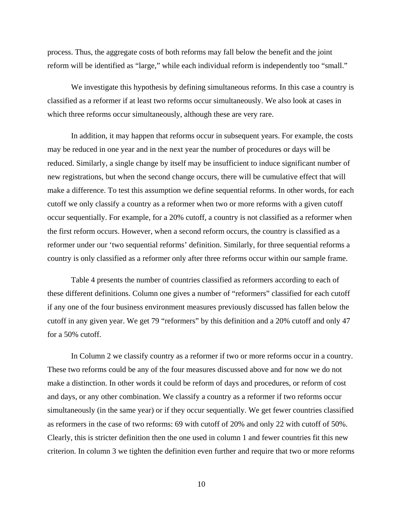process. Thus, the aggregate costs of both reforms may fall below the benefit and the joint reform will be identified as "large," while each individual reform is independently too "small."

We investigate this hypothesis by defining simultaneous reforms. In this case a country is classified as a reformer if at least two reforms occur simultaneously. We also look at cases in which three reforms occur simultaneously, although these are very rare.

In addition, it may happen that reforms occur in subsequent years. For example, the costs may be reduced in one year and in the next year the number of procedures or days will be reduced. Similarly, a single change by itself may be insufficient to induce significant number of new registrations, but when the second change occurs, there will be cumulative effect that will make a difference. To test this assumption we define sequential reforms. In other words, for each cutoff we only classify a country as a reformer when two or more reforms with a given cutoff occur sequentially. For example, for a 20% cutoff, a country is not classified as a reformer when the first reform occurs. However, when a second reform occurs, the country is classified as a reformer under our 'two sequential reforms' definition. Similarly, for three sequential reforms a country is only classified as a reformer only after three reforms occur within our sample frame.

Table 4 presents the number of countries classified as reformers according to each of these different definitions. Column one gives a number of "reformers" classified for each cutoff if any one of the four business environment measures previously discussed has fallen below the cutoff in any given year. We get 79 "reformers" by this definition and a 20% cutoff and only 47 for a 50% cutoff.

In Column 2 we classify country as a reformer if two or more reforms occur in a country. These two reforms could be any of the four measures discussed above and for now we do not make a distinction. In other words it could be reform of days and procedures, or reform of cost and days, or any other combination. We classify a country as a reformer if two reforms occur simultaneously (in the same year) or if they occur sequentially. We get fewer countries classified as reformers in the case of two reforms: 69 with cutoff of 20% and only 22 with cutoff of 50%. Clearly, this is stricter definition then the one used in column 1 and fewer countries fit this new criterion. In column 3 we tighten the definition even further and require that two or more reforms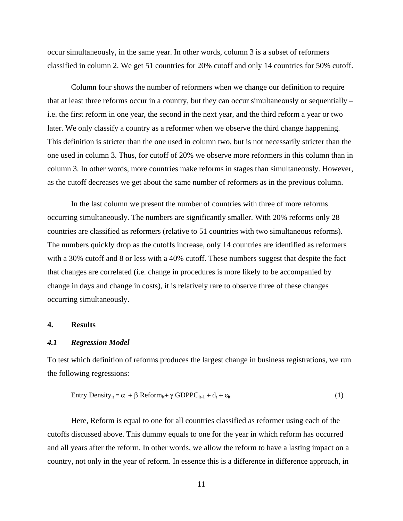occur simultaneously, in the same year. In other words, column 3 is a subset of reformers classified in column 2. We get 51 countries for 20% cutoff and only 14 countries for 50% cutoff.

Column four shows the number of reformers when we change our definition to require that at least three reforms occur in a country, but they can occur simultaneously or sequentially – i.e. the first reform in one year, the second in the next year, and the third reform a year or two later. We only classify a country as a reformer when we observe the third change happening. This definition is stricter than the one used in column two, but is not necessarily stricter than the one used in column 3. Thus, for cutoff of 20% we observe more reformers in this column than in column 3. In other words, more countries make reforms in stages than simultaneously. However, as the cutoff decreases we get about the same number of reformers as in the previous column.

In the last column we present the number of countries with three of more reforms occurring simultaneously. The numbers are significantly smaller. With 20% reforms only 28 countries are classified as reformers (relative to 51 countries with two simultaneous reforms). The numbers quickly drop as the cutoffs increase, only 14 countries are identified as reformers with a 30% cutoff and 8 or less with a 40% cutoff. These numbers suggest that despite the fact that changes are correlated (i.e. change in procedures is more likely to be accompanied by change in days and change in costs), it is relatively rare to observe three of these changes occurring simultaneously.

#### **4. Results**

#### *4.1 Regression Model*

To test which definition of reforms produces the largest change in business registrations, we run the following regressions:

$$
Entry Density_{it} = \alpha_i + \beta \text{ Reform}_{it} + \gamma \text{ GDPPC}_{it-1} + d_t + \varepsilon_{it}
$$
\n(1)

Here, Reform is equal to one for all countries classified as reformer using each of the cutoffs discussed above. This dummy equals to one for the year in which reform has occurred and all years after the reform. In other words, we allow the reform to have a lasting impact on a country, not only in the year of reform. In essence this is a difference in difference approach, in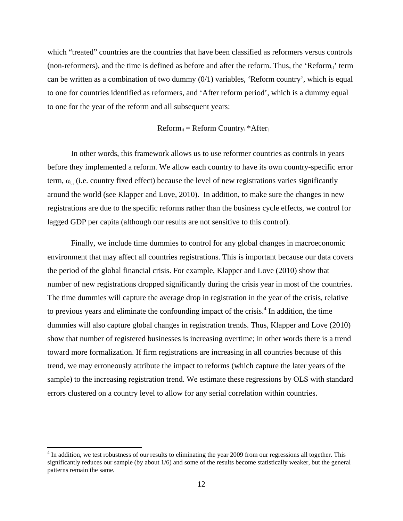which "treated" countries are the countries that have been classified as reformers versus controls (non-reformers), and the time is defined as before and after the reform. Thus, the 'Reform<sub>it</sub>' term can be written as a combination of two dummy  $(0/1)$  variables, 'Reform country', which is equal to one for countries identified as reformers, and 'After reform period', which is a dummy equal to one for the year of the reform and all subsequent years:

 $Reform_{it} = Reform Country_i * After_t$ 

In other words, this framework allows us to use reformer countries as controls in years before they implemented a reform. We allow each country to have its own country-specific error term,  $\alpha_{\rm L}$ , (i.e. country fixed effect) because the level of new registrations varies significantly around the world (see Klapper and Love, 2010). In addition, to make sure the changes in new registrations are due to the specific reforms rather than the business cycle effects, we control for lagged GDP per capita (although our results are not sensitive to this control).

Finally, we include time dummies to control for any global changes in macroeconomic environment that may affect all countries registrations. This is important because our data covers the period of the global financial crisis. For example, Klapper and Love (2010) show that number of new registrations dropped significantly during the crisis year in most of the countries. The time dummies will capture the average drop in registration in the year of the crisis, relative to previous years and eliminate the confounding impact of the crisis. $4$  In addition, the time dummies will also capture global changes in registration trends. Thus, Klapper and Love (2010) show that number of registered businesses is increasing overtime; in other words there is a trend toward more formalization. If firm registrations are increasing in all countries because of this trend, we may erroneously attribute the impact to reforms (which capture the later years of the sample) to the increasing registration trend. We estimate these regressions by OLS with standard errors clustered on a country level to allow for any serial correlation within countries.

<sup>&</sup>lt;sup>4</sup> In addition, we test robustness of our results to eliminating the year 2009 from our regressions all together. This significantly reduces our sample (by about 1/6) and some of the results become statistically weaker, but the general patterns remain the same.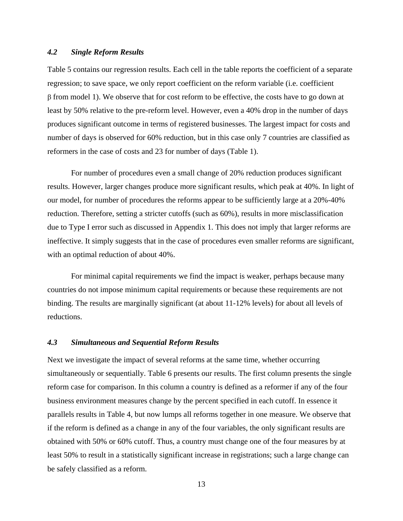# *4.2 Single Reform Results*

Table 5 contains our regression results. Each cell in the table reports the coefficient of a separate regression; to save space, we only report coefficient on the reform variable (i.e. coefficient  $\beta$  from model 1). We observe that for cost reform to be effective, the costs have to go down at least by 50% relative to the pre-reform level. However, even a 40% drop in the number of days produces significant outcome in terms of registered businesses. The largest impact for costs and number of days is observed for 60% reduction, but in this case only 7 countries are classified as reformers in the case of costs and 23 for number of days (Table 1).

For number of procedures even a small change of 20% reduction produces significant results. However, larger changes produce more significant results, which peak at 40%. In light of our model, for number of procedures the reforms appear to be sufficiently large at a 20%-40% reduction. Therefore, setting a stricter cutoffs (such as 60%), results in more misclassification due to Type I error such as discussed in Appendix 1. This does not imply that larger reforms are ineffective. It simply suggests that in the case of procedures even smaller reforms are significant, with an optimal reduction of about 40%.

For minimal capital requirements we find the impact is weaker, perhaps because many countries do not impose minimum capital requirements or because these requirements are not binding. The results are marginally significant (at about 11-12% levels) for about all levels of reductions.

#### *4.3 Simultaneous and Sequential Reform Results*

Next we investigate the impact of several reforms at the same time, whether occurring simultaneously or sequentially. Table 6 presents our results. The first column presents the single reform case for comparison. In this column a country is defined as a reformer if any of the four business environment measures change by the percent specified in each cutoff. In essence it parallels results in Table 4, but now lumps all reforms together in one measure. We observe that if the reform is defined as a change in any of the four variables, the only significant results are obtained with 50% or 60% cutoff. Thus, a country must change one of the four measures by at least 50% to result in a statistically significant increase in registrations; such a large change can be safely classified as a reform.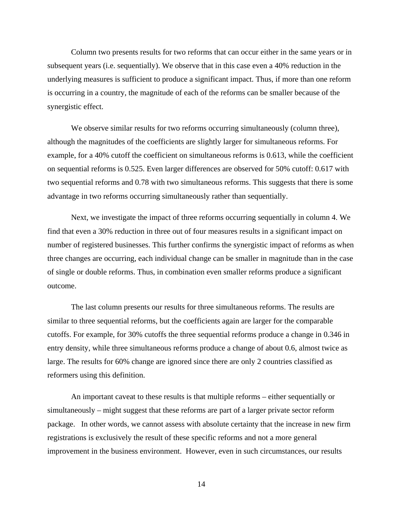Column two presents results for two reforms that can occur either in the same years or in subsequent years (i.e. sequentially). We observe that in this case even a 40% reduction in the underlying measures is sufficient to produce a significant impact. Thus, if more than one reform is occurring in a country, the magnitude of each of the reforms can be smaller because of the synergistic effect.

We observe similar results for two reforms occurring simultaneously (column three), although the magnitudes of the coefficients are slightly larger for simultaneous reforms. For example, for a 40% cutoff the coefficient on simultaneous reforms is 0.613, while the coefficient on sequential reforms is 0.525. Even larger differences are observed for 50% cutoff: 0.617 with two sequential reforms and 0.78 with two simultaneous reforms. This suggests that there is some advantage in two reforms occurring simultaneously rather than sequentially.

Next, we investigate the impact of three reforms occurring sequentially in column 4. We find that even a 30% reduction in three out of four measures results in a significant impact on number of registered businesses. This further confirms the synergistic impact of reforms as when three changes are occurring, each individual change can be smaller in magnitude than in the case of single or double reforms. Thus, in combination even smaller reforms produce a significant outcome.

The last column presents our results for three simultaneous reforms. The results are similar to three sequential reforms, but the coefficients again are larger for the comparable cutoffs. For example, for 30% cutoffs the three sequential reforms produce a change in 0.346 in entry density, while three simultaneous reforms produce a change of about 0.6, almost twice as large. The results for 60% change are ignored since there are only 2 countries classified as reformers using this definition.

An important caveat to these results is that multiple reforms – either sequentially or simultaneously – might suggest that these reforms are part of a larger private sector reform package. In other words, we cannot assess with absolute certainty that the increase in new firm registrations is exclusively the result of these specific reforms and not a more general improvement in the business environment. However, even in such circumstances, our results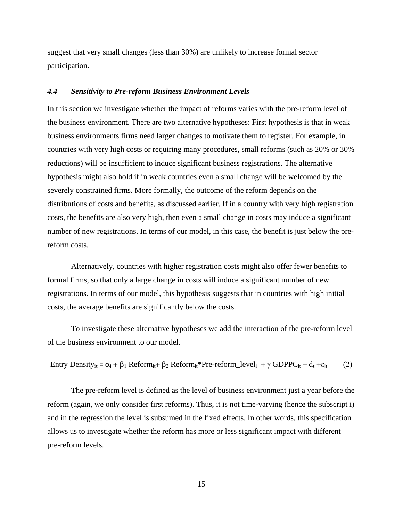suggest that very small changes (less than 30%) are unlikely to increase formal sector participation.

# *4.4 Sensitivity to Pre-reform Business Environment Levels*

In this section we investigate whether the impact of reforms varies with the pre-reform level of the business environment. There are two alternative hypotheses: First hypothesis is that in weak business environments firms need larger changes to motivate them to register. For example, in countries with very high costs or requiring many procedures, small reforms (such as 20% or 30% reductions) will be insufficient to induce significant business registrations. The alternative hypothesis might also hold if in weak countries even a small change will be welcomed by the severely constrained firms. More formally, the outcome of the reform depends on the distributions of costs and benefits, as discussed earlier. If in a country with very high registration costs, the benefits are also very high, then even a small change in costs may induce a significant number of new registrations. In terms of our model, in this case, the benefit is just below the prereform costs.

Alternatively, countries with higher registration costs might also offer fewer benefits to formal firms, so that only a large change in costs will induce a significant number of new registrations. In terms of our model, this hypothesis suggests that in countries with high initial costs, the average benefits are significantly below the costs.

To investigate these alternative hypotheses we add the interaction of the pre-reform level of the business environment to our model.

Entry Density<sub>it</sub> = 
$$
\alpha_i + \beta_1
$$
 Reform<sub>it</sub> +  $\beta_2$  Reform<sub>it</sub><sup>\*</sup>Pre-reform-level<sub>i</sub> +  $\gamma$  GDPPC<sub>it</sub> +  $d_t + \varepsilon_{it}$  (2)

The pre-reform level is defined as the level of business environment just a year before the reform (again, we only consider first reforms). Thus, it is not time-varying (hence the subscript i) and in the regression the level is subsumed in the fixed effects. In other words, this specification allows us to investigate whether the reform has more or less significant impact with different pre-reform levels.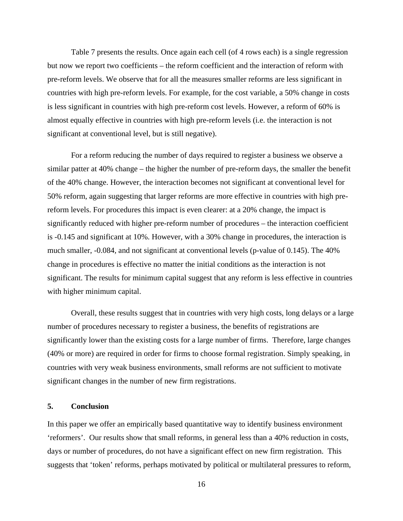Table 7 presents the results. Once again each cell (of 4 rows each) is a single regression but now we report two coefficients – the reform coefficient and the interaction of reform with pre-reform levels. We observe that for all the measures smaller reforms are less significant in countries with high pre-reform levels. For example, for the cost variable, a 50% change in costs is less significant in countries with high pre-reform cost levels. However, a reform of 60% is almost equally effective in countries with high pre-reform levels (i.e. the interaction is not significant at conventional level, but is still negative).

For a reform reducing the number of days required to register a business we observe a similar patter at 40% change – the higher the number of pre-reform days, the smaller the benefit of the 40% change. However, the interaction becomes not significant at conventional level for 50% reform, again suggesting that larger reforms are more effective in countries with high prereform levels. For procedures this impact is even clearer: at a 20% change, the impact is significantly reduced with higher pre-reform number of procedures – the interaction coefficient is -0.145 and significant at 10%. However, with a 30% change in procedures, the interaction is much smaller, -0.084, and not significant at conventional levels (p-value of 0.145). The 40% change in procedures is effective no matter the initial conditions as the interaction is not significant. The results for minimum capital suggest that any reform is less effective in countries with higher minimum capital.

Overall, these results suggest that in countries with very high costs, long delays or a large number of procedures necessary to register a business, the benefits of registrations are significantly lower than the existing costs for a large number of firms. Therefore, large changes (40% or more) are required in order for firms to choose formal registration. Simply speaking, in countries with very weak business environments, small reforms are not sufficient to motivate significant changes in the number of new firm registrations.

# **5. Conclusion**

In this paper we offer an empirically based quantitative way to identify business environment 'reformers'. Our results show that small reforms, in general less than a 40% reduction in costs, days or number of procedures, do not have a significant effect on new firm registration. This suggests that 'token' reforms, perhaps motivated by political or multilateral pressures to reform,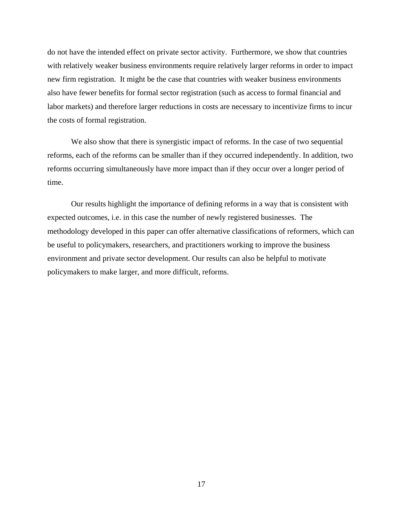do not have the intended effect on private sector activity. Furthermore, we show that countries with relatively weaker business environments require relatively larger reforms in order to impact new firm registration. It might be the case that countries with weaker business environments also have fewer benefits for formal sector registration (such as access to formal financial and labor markets) and therefore larger reductions in costs are necessary to incentivize firms to incur the costs of formal registration.

We also show that there is synergistic impact of reforms. In the case of two sequential reforms, each of the reforms can be smaller than if they occurred independently. In addition, two reforms occurring simultaneously have more impact than if they occur over a longer period of time.

Our results highlight the importance of defining reforms in a way that is consistent with expected outcomes, i.e. in this case the number of newly registered businesses. The methodology developed in this paper can offer alternative classifications of reformers, which can be useful to policymakers, researchers, and practitioners working to improve the business environment and private sector development. Our results can also be helpful to motivate policymakers to make larger, and more difficult, reforms.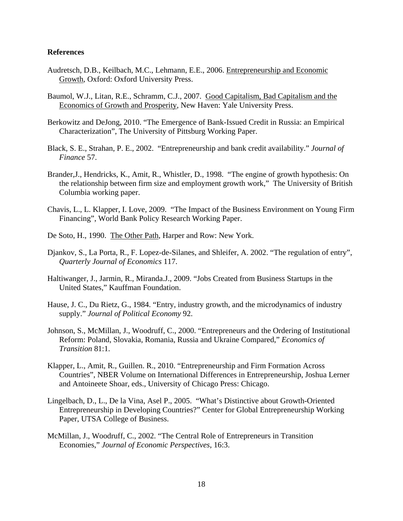# **References**

- Audretsch, D.B., Keilbach, M.C., Lehmann, E.E., 2006. Entrepreneurship and Economic Growth, Oxford: Oxford University Press.
- Baumol, W.J., Litan, R.E., Schramm, C.J., 2007. Good Capitalism, Bad Capitalism and the Economics of Growth and Prosperity, New Haven: Yale University Press.
- Berkowitz and DeJong, 2010. "The Emergence of Bank-Issued Credit in Russia: an Empirical Characterization", The University of Pittsburg Working Paper.
- Black, S. E., Strahan, P. E., 2002. "Entrepreneurship and bank credit availability." *Journal of Finance* 57.
- Brander,J., Hendricks, K., Amit, R., Whistler, D., 1998. "The engine of growth hypothesis: On the relationship between firm size and employment growth work," The University of British Columbia working paper.
- Chavis, L., L. Klapper, I. Love, 2009. "The Impact of the Business Environment on Young Firm Financing", World Bank Policy Research Working Paper.
- De Soto, H., 1990. The Other Path, Harper and Row: New York.
- Djankov, S., La Porta, R., F. Lopez-de-Silanes, and Shleifer, A. 2002. "The regulation of entry", *Quarterly Journal of Economics* 117.
- Haltiwanger, J., Jarmin, R., Miranda.J., 2009. "Jobs Created from Business Startups in the United States," Kauffman Foundation.
- Hause, J. C., Du Rietz, G., 1984. "Entry, industry growth, and the microdynamics of industry supply." *Journal of Political Economy* 92.
- Johnson, S., McMillan, J., Woodruff, C., 2000. "Entrepreneurs and the Ordering of Institutional Reform: Poland, Slovakia, Romania, Russia and Ukraine Compared," *Economics of Transition* 81:1.
- Klapper, L., Amit, R., Guillen. R., 2010. "Entrepreneurship and Firm Formation Across Countries", NBER Volume on International Differences in Entrepreneurship, Joshua Lerner and Antoineete Shoar, eds., University of Chicago Press: Chicago.
- Lingelbach, D., L., De la Vina, Asel P., 2005. "What's Distinctive about Growth-Oriented Entrepreneurship in Developing Countries?" Center for Global Entrepreneurship Working Paper, UTSA College of Business.
- McMillan, J., Woodruff, C., 2002. "The Central Role of Entrepreneurs in Transition Economies," *Journal of Economic Perspectives*, 16:3.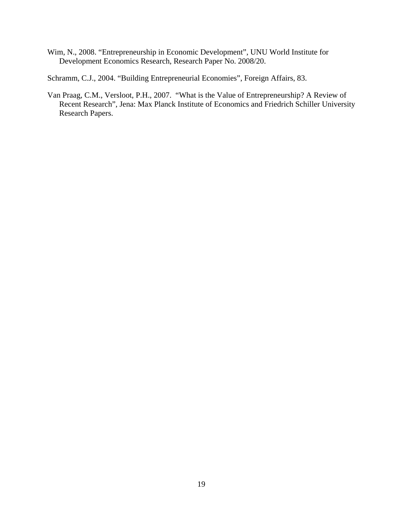Wim, N., 2008. "Entrepreneurship in Economic Development", UNU World Institute for Development Economics Research, Research Paper No. 2008/20.

Schramm, C.J., 2004. "Building Entrepreneurial Economies", Foreign Affairs, 83.

Van Praag, C.M., Versloot, P.H., 2007. "What is the Value of Entrepreneurship? A Review of Recent Research", Jena: Max Planck Institute of Economics and Friedrich Schiller University Research Papers.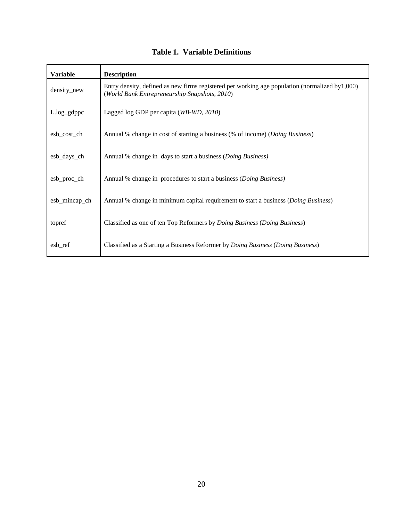# **Table 1. Variable Definitions**

| <b>Variable</b> | <b>Description</b>                                                                                                                                  |
|-----------------|-----------------------------------------------------------------------------------------------------------------------------------------------------|
| density_new     | Entry density, defined as new firms registered per working age population (normalized by $1,000$ )<br>(World Bank Entrepreneurship Snapshots, 2010) |
| $L.log\_gdppc$  | Lagged log GDP per capita (WB-WD, 2010)                                                                                                             |
| esb_cost_ch     | Annual % change in cost of starting a business (% of income) (Doing Business)                                                                       |
| esb_days_ch     | Annual % change in days to start a business (Doing Business)                                                                                        |
| esb_proc_ch     | Annual % change in procedures to start a business (Doing Business)                                                                                  |
| esb_mincap_ch   | Annual % change in minimum capital requirement to start a business ( <i>Doing Business</i> )                                                        |
| topref          | Classified as one of ten Top Reformers by <i>Doing Business</i> ( <i>Doing Business</i> )                                                           |
| esb_ref         | Classified as a Starting a Business Reformer by <i>Doing Business</i> ( <i>Doing Business</i> )                                                     |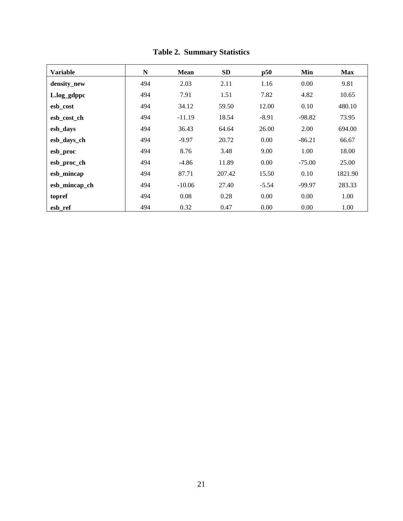| <b>Variable</b> | N   | <b>Mean</b> | <b>SD</b> | p50     | Min      | <b>Max</b> |
|-----------------|-----|-------------|-----------|---------|----------|------------|
| density_new     | 494 | 2.03        | 2.11      | 1.16    | 0.00     | 9.81       |
| L.log_gdppc     | 494 | 7.91        | 1.51      | 7.82    | 4.82     | 10.65      |
| esb cost        | 494 | 34.12       | 59.50     | 12.00   | 0.10     | 480.10     |
| esb_cost_ch     | 494 | $-11.19$    | 18.54     | $-8.91$ | $-98.82$ | 73.95      |
| esb_days        | 494 | 36.43       | 64.64     | 26.00   | 2.00     | 694.00     |
| esb_days_ch     | 494 | $-9.97$     | 20.72     | 0.00    | $-86.21$ | 66.67      |
| esb_proc        | 494 | 8.76        | 3.48      | 9.00    | 1.00     | 18.00      |
| esb_proc_ch     | 494 | $-4.86$     | 11.89     | 0.00    | $-75.00$ | 25.00      |
| esb_mincap      | 494 | 87.71       | 207.42    | 15.50   | 0.10     | 1821.90    |
| esb_mincap_ch   | 494 | $-10.06$    | 27.40     | $-5.54$ | $-99.97$ | 283.33     |
| topref          | 494 | 0.08        | 0.28      | 0.00    | 0.00     | 1.00       |
| esb ref         | 494 | 0.32        | 0.47      | 0.00    | 0.00     | 1.00       |

**Table 2. Summary Statistics**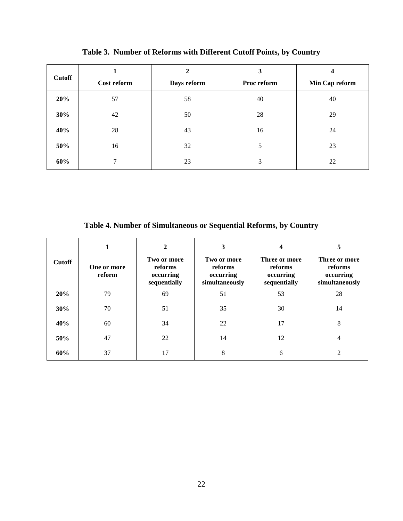| <b>Cutoff</b> | Cost reform | $\mathbf{2}$<br>Days reform | 3<br>Proc reform | 4<br>Min Cap reform |
|---------------|-------------|-----------------------------|------------------|---------------------|
| 20%           | 57          | 58                          | 40               | 40                  |
| 30%           | 42          | 50                          | 28               | 29                  |
| 40%           | 28          | 43                          | 16               | 24                  |
| 50%           | 16          | 32                          | 5                | 23                  |
| 60%           | 7           | 23                          | 3                | 22                  |

**Table 3. Number of Reforms with Different Cutoff Points, by Country** 

**Table 4. Number of Simultaneous or Sequential Reforms, by Country** 

|               | 1                     | $\mathbf{2}$                                        | 3                                                     | 4                                                     | 5                                                       |
|---------------|-----------------------|-----------------------------------------------------|-------------------------------------------------------|-------------------------------------------------------|---------------------------------------------------------|
| <b>Cutoff</b> | One or more<br>reform | Two or more<br>reforms<br>occurring<br>sequentially | Two or more<br>reforms<br>occurring<br>simultaneously | Three or more<br>reforms<br>occurring<br>sequentially | Three or more<br>reforms<br>occurring<br>simultaneously |
| 20%           | 79                    | 69                                                  | 51                                                    | 53                                                    | 28                                                      |
| 30%           | 70                    | 51                                                  | 35                                                    | 30                                                    | 14                                                      |
| 40%           | 60                    | 34                                                  | 22                                                    | 17                                                    | 8                                                       |
| 50%           | 47                    | 22                                                  | 14                                                    | 12                                                    | 4                                                       |
| 60%           | 37                    | 17                                                  | 8                                                     | 6                                                     | 2                                                       |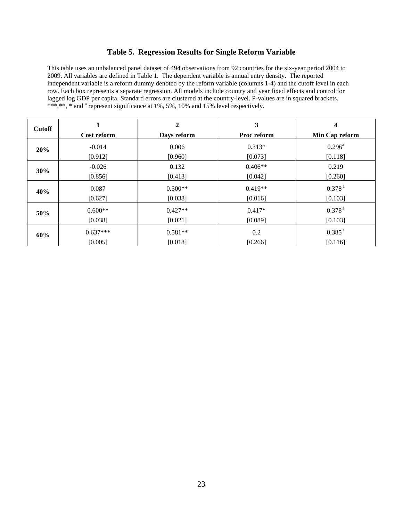## **Table 5. Regression Results for Single Reform Variable**

This table uses an unbalanced panel dataset of 494 observations from 92 countries for the six-year period 2004 to 2009. All variables are defined in Table 1. The dependent variable is annual entry density. The reported independent variable is a reform dummy denoted by the reform variable (columns 1-4) and the cutoff level in each row. Each box represents a separate regression. All models include country and year fixed effects and control for lagged log GDP per capita. Standard errors are clustered at the country-level. P-values are in squared brackets. \*\*\*,\*\*, \* and <sup>a</sup> represent significance at 1%, 5%, 10% and 15% level respectively.

| <b>Cutoff</b> |             | $\overline{2}$ | 3           | 4                  |
|---------------|-------------|----------------|-------------|--------------------|
|               | Cost reform | Days reform    | Proc reform | Min Cap reform     |
| 20%           | $-0.014$    | 0.006          | $0.313*$    | $0.296^{\text{a}}$ |
|               | [0.912]     | [0.960]        | [0.073]     | [0.118]            |
| 30%           | $-0.026$    | 0.132          | $0.406**$   | 0.219              |
|               | [0.856]     | [0.413]        | [0.042]     | [0.260]            |
| 40%           | 0.087       | $0.300**$      | $0.419**$   | 0.378 <sup>a</sup> |
|               | [0.627]     | [0.038]        | [0.016]     | [0.103]            |
| 50%           | $0.600**$   | $0.427**$      | $0.417*$    | 0.378 <sup>a</sup> |
|               | [0.038]     | [0.021]        | [0.089]     | [0.103]            |
| 60%           | $0.637***$  | $0.581**$      | 0.2         | 0.385 <sup>a</sup> |
|               | [0.005]     | [0.018]        | [0.266]     | [0.116]            |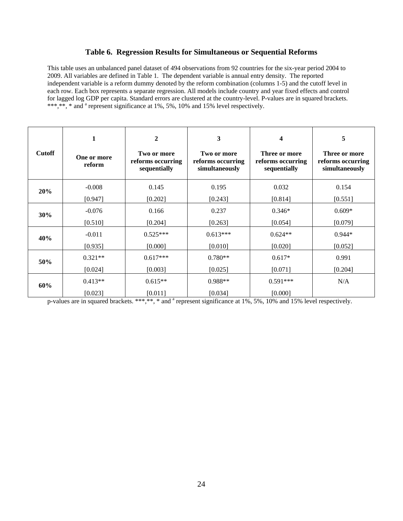### **Table 6. Regression Results for Simultaneous or Sequential Reforms**

This table uses an unbalanced panel dataset of 494 observations from 92 countries for the six-year period 2004 to 2009. All variables are defined in Table 1. The dependent variable is annual entry density. The reported independent variable is a reform dummy denoted by the reform combination (columns 1-5) and the cutoff level in each row. Each box represents a separate regression. All models include country and year fixed effects and control for lagged log GDP per capita. Standard errors are clustered at the country-level. P-values are in squared brackets. \*\*\*,\*\*, \* and <sup>a</sup> represent significance at 1%, 5%, 10% and 15% level respectively.

| <b>Cutoff</b> | 1<br>One or more<br>reform | $\mathbf{2}$<br>Two or more<br>reforms occurring<br>sequentially | 3<br>Two or more<br>reforms occurring<br>simultaneously | 4<br>Three or more<br>reforms occurring<br>sequentially | 5<br>Three or more<br>reforms occurring<br>simultaneously |
|---------------|----------------------------|------------------------------------------------------------------|---------------------------------------------------------|---------------------------------------------------------|-----------------------------------------------------------|
| 20%           | $-0.008$                   | 0.145                                                            | 0.195                                                   | 0.032                                                   | 0.154                                                     |
|               | [0.947]                    | [0.202]                                                          | [0.243]                                                 | [0.814]                                                 | [0.551]                                                   |
| 30%           | $-0.076$                   | 0.166                                                            | 0.237                                                   | $0.346*$                                                | $0.609*$                                                  |
|               | [0.510]                    | [0.204]                                                          | [0.263]                                                 | [0.054]                                                 | [0.079]                                                   |
| 40%           | $-0.011$                   | $0.525***$                                                       | $0.613***$                                              | $0.624**$                                               | $0.944*$                                                  |
|               | [0.935]                    | [0.000]                                                          | [0.010]                                                 | [0.020]                                                 | [0.052]                                                   |
| 50%           | $0.321**$                  | $0.617***$                                                       | $0.780**$                                               | $0.617*$                                                | 0.991                                                     |
|               | [0.024]                    | [0.003]                                                          | [0.025]                                                 | [0.071]                                                 | [0.204]                                                   |
| 60%           | $0.413**$                  | $0.615**$                                                        | $0.988**$                                               | $0.591***$                                              | N/A                                                       |
|               | [0.023]                    | [0.011]                                                          | [0.034]                                                 | [0.000]                                                 |                                                           |

p-values are in squared brackets. \*\*\*,\*\*, \* and <sup>a</sup> represent significance at 1%, 5%, 10% and 15% level respectively.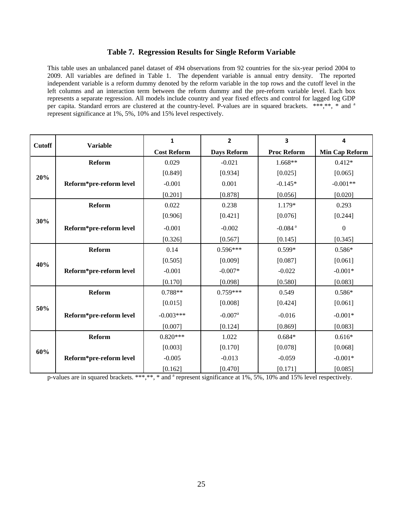### **Table 7. Regression Results for Single Reform Variable**

This table uses an unbalanced panel dataset of 494 observations from 92 countries for the six-year period 2004 to 2009. All variables are defined in Table 1. The dependent variable is annual entry density. The reported independent variable is a reform dummy denoted by the reform variable in the top rows and the cutoff level in the left columns and an interaction term between the reform dummy and the pre-reform variable level. Each box represents a separate regression. All models include country and year fixed effects and control for lagged log GDP per capita. Standard errors are clustered at the country-level. P-values are in squared brackets. \*\*\*,\*\*, \* and <sup>a</sup> represent significance at 1%, 5%, 10% and 15% level respectively.

| <b>Cutoff</b> | <b>Variable</b>         | $\mathbf{1}$       | $\mathbf{2}$          | 3                     | 4                |
|---------------|-------------------------|--------------------|-----------------------|-----------------------|------------------|
|               |                         | <b>Cost Reform</b> | Days Reform           | <b>Proc Reform</b>    | Min Cap Reform   |
|               | <b>Reform</b>           | 0.029              | $-0.021$              | $1.668**$             | $0.412*$         |
| 20%           |                         | [0.849]            | [0.934]               | [0.025]               | [0.065]          |
|               | Reform*pre-reform level | $-0.001$           | 0.001                 | $-0.145*$             | $-0.001**$       |
|               |                         | [0.201]            | [0.878]               | [0.056]               | [0.020]          |
|               | <b>Reform</b>           | 0.022              | 0.238                 | 1.179*                | 0.293            |
| 30%           |                         | [0.906]            | [0.421]               | [0.076]               | [0.244]          |
|               | Reform*pre-reform level | $-0.001$           | $-0.002$              | $-0.084$ <sup>a</sup> | $\boldsymbol{0}$ |
|               |                         | [0.326]            | [0.567]               | [0.145]               | [0.345]          |
|               | <b>Reform</b>           | 0.14               | $0.596***$            | $0.599*$              | $0.586*$         |
| 40%           |                         | [0.505]            | [0.009]               | [0.087]               | [0.061]          |
|               | Reform*pre-reform level | $-0.001$           | $-0.007*$             | $-0.022$              | $-0.001*$        |
|               |                         | [0.170]            | [0.098]               | [0.580]               | [0.083]          |
|               | Reform                  | 0.788**            | $0.759***$            | 0.549                 | $0.586*$         |
| 50%           |                         | [0.015]            | [0.008]               | [0.424]               | [0.061]          |
|               | Reform*pre-reform level | $-0.003***$        | $-0.007$ <sup>a</sup> | $-0.016$              | $-0.001*$        |
|               |                         | [0.007]            | [0.124]               | [0.869]               | [0.083]          |
| 60%           | <b>Reform</b>           | $0.820***$         | 1.022                 | $0.684*$              | $0.616*$         |
|               |                         | [0.003]            | [0.170]               | [0.078]               | [0.068]          |
|               | Reform*pre-reform level | $-0.005$           | $-0.013$              | $-0.059$              | $-0.001*$        |
|               |                         | [0.162]            | [0.470]               | [0.171]               | [0.085]          |

p-values are in squared brackets. \*\*\*,\*\*, \* and <sup>a</sup> represent significance at 1%, 5%, 10% and 15% level respectively.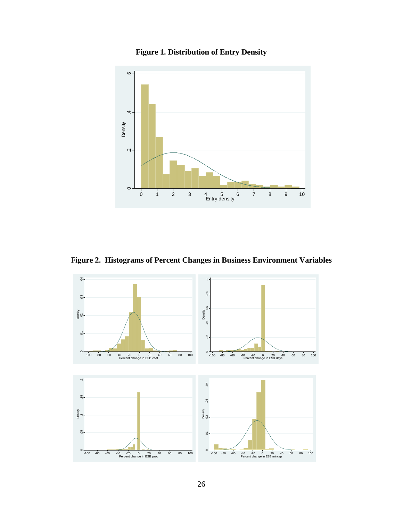



F**igure 2. Histograms of Percent Changes in Business Environment Variables** 

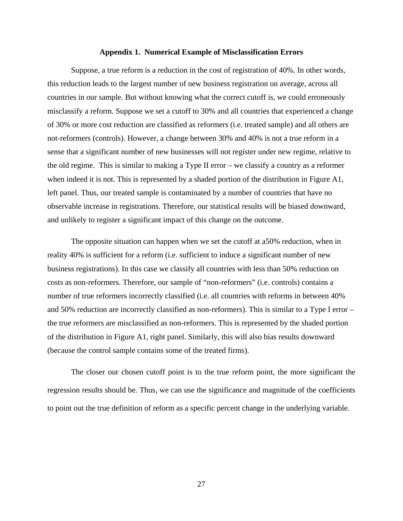#### **Appendix 1. Numerical Example of Misclassification Errors**

Suppose, a true reform is a reduction in the cost of registration of 40%. In other words, this reduction leads to the largest number of new business registration on average, across all countries in our sample. But without knowing what the correct cutoff is, we could erroneously misclassify a reform. Suppose we set a cutoff to 30% and all countries that experienced a change of 30% or more cost reduction are classified as reformers (i.e. treated sample) and all others are not-reformers (controls). However, a change between 30% and 40% is not a true reform in a sense that a significant number of new businesses will not register under new regime, relative to the old regime. This is similar to making a Type II error – we classify a country as a reformer when indeed it is not. This is represented by a shaded portion of the distribution in Figure A1, left panel. Thus, our treated sample is contaminated by a number of countries that have no observable increase in registrations. Therefore, our statistical results will be biased downward, and unlikely to register a significant impact of this change on the outcome.

The opposite situation can happen when we set the cutoff at a50% reduction, when in reality 40% is sufficient for a reform (i.e. sufficient to induce a significant number of new business registrations). In this case we classify all countries with less than 50% reduction on costs as non-reformers. Therefore, our sample of "non-reformers" (i.e. controls) contains a number of true reformers incorrectly classified (i.e. all countries with reforms in between 40% and 50% reduction are incorrectly classified as non-reformers). This is similar to a Type I error – the true reformers are misclassified as non-reformers. This is represented by the shaded portion of the distribution in Figure A1, right panel. Similarly, this will also bias results downward (because the control sample contains some of the treated firms).

The closer our chosen cutoff point is to the true reform point, the more significant the regression results should be. Thus, we can use the significance and magnitude of the coefficients to point out the true definition of reform as a specific percent change in the underlying variable.